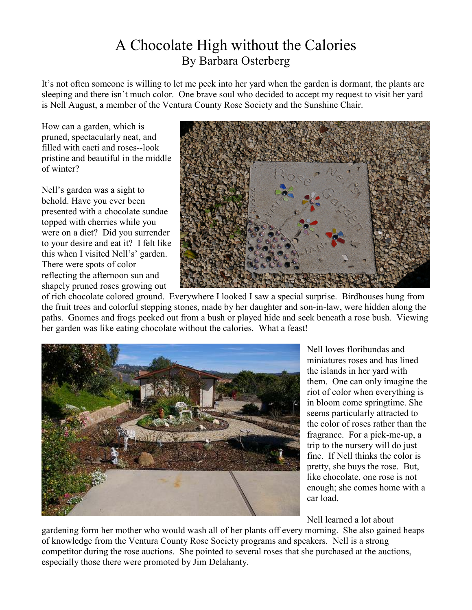## A Chocolate High without the Calories By Barbara Osterberg

It's not often someone is willing to let me peek into her yard when the garden is dormant, the plants are sleeping and there isn't much color. One brave soul who decided to accept my request to visit her yard is Nell August, a member of the Ventura County Rose Society and the Sunshine Chair.

How can a garden, which is pruned, spectacularly neat, and filled with cacti and roses--look pristine and beautiful in the middle of winter?

Nell's garden was a sight to behold. Have you ever been presented with a chocolate sundae topped with cherries while you were on a diet? Did you surrender to your desire and eat it? I felt like this when I visited Nell's' garden. There were spots of color reflecting the afternoon sun and shapely pruned roses growing out



of rich chocolate colored ground. Everywhere I looked I saw a special surprise. Birdhouses hung from the fruit trees and colorful stepping stones, made by her daughter and son-in-law, were hidden along the paths. Gnomes and frogs peeked out from a bush or played hide and seek beneath a rose bush. Viewing her garden was like eating chocolate without the calories. What a feast!



Nell loves floribundas and miniatures roses and has lined the islands in her yard with them. One can only imagine the riot of color when everything is in bloom come springtime. She seems particularly attracted to the color of roses rather than the fragrance. For a pick-me-up, a trip to the nursery will do just fine. If Nell thinks the color is pretty, she buys the rose. But, like chocolate, one rose is not enough; she comes home with a car load.

Nell learned a lot about

gardening form her mother who would wash all of her plants off every morning. She also gained heaps of knowledge from the Ventura County Rose Society programs and speakers. Nell is a strong competitor during the rose auctions. She pointed to several roses that she purchased at the auctions, especially those there were promoted by Jim Delahanty.